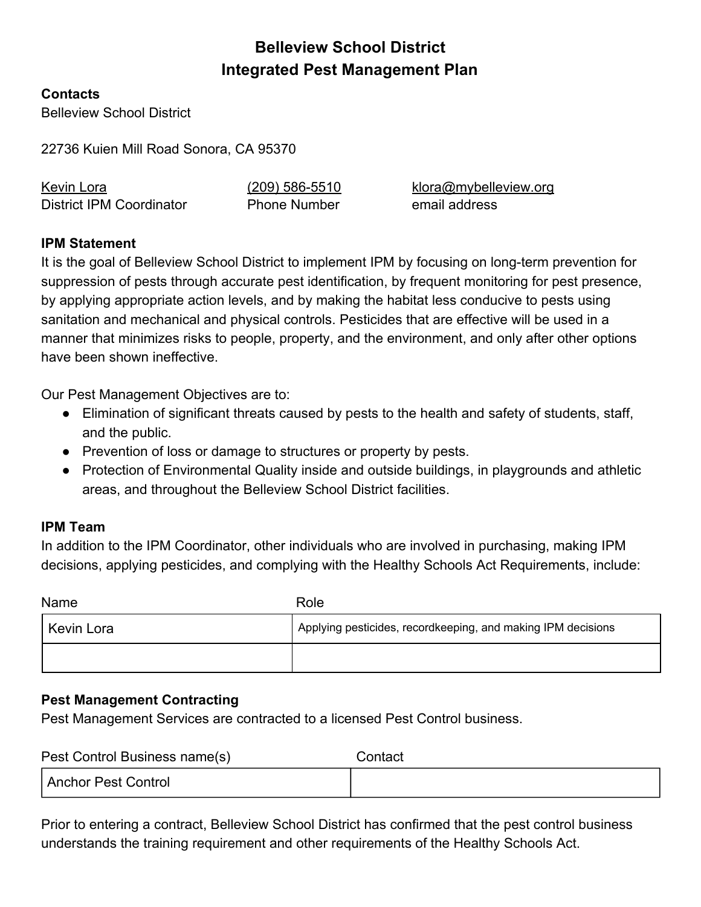# **Belleview School District Integrated Pest Management Plan**

#### **Contacts**

Belleview School District

22736 Kuien Mill Road Sonora, CA 95370

| Kevin Lora                      | $(209)$ 586-5510    | klora@mybelleview.org |
|---------------------------------|---------------------|-----------------------|
| <b>District IPM Coordinator</b> | <b>Phone Number</b> | email address         |

#### **IPM Statement**

It is the goal of Belleview School District to implement IPM by focusing on long-term prevention for suppression of pests through accurate pest identification, by frequent monitoring for pest presence, by applying appropriate action levels, and by making the habitat less conducive to pests using sanitation and mechanical and physical controls. Pesticides that are effective will be used in a manner that minimizes risks to people, property, and the environment, and only after other options have been shown ineffective.

Our Pest Management Objectives are to:

- Elimination of significant threats caused by pests to the health and safety of students, staff, and the public.
- Prevention of loss or damage to structures or property by pests.
- Protection of Environmental Quality inside and outside buildings, in playgrounds and athletic areas, and throughout the Belleview School District facilities.

#### **IPM Team**

In addition to the IPM Coordinator, other individuals who are involved in purchasing, making IPM decisions, applying pesticides, and complying with the Healthy Schools Act Requirements, include:

| Name       | Role                                                         |
|------------|--------------------------------------------------------------|
| Kevin Lora | Applying pesticides, recordkeeping, and making IPM decisions |
|            |                                                              |

#### **Pest Management Contracting**

Pest Management Services are contracted to a licensed Pest Control business.

| Pest Control Business name(s) | Contact |
|-------------------------------|---------|
| Anchor Pest Control           |         |

Prior to entering a contract, Belleview School District has confirmed that the pest control business understands the training requirement and other requirements of the Healthy Schools Act.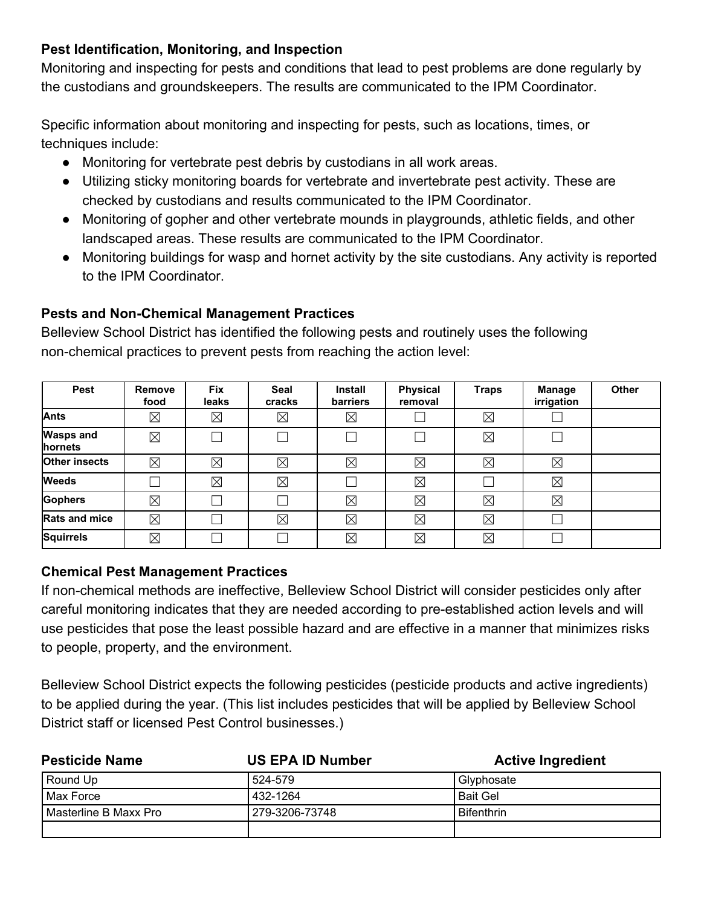## **Pest Identification, Monitoring, and Inspection**

Monitoring and inspecting for pests and conditions that lead to pest problems are done regularly by the custodians and groundskeepers. The results are communicated to the IPM Coordinator.

Specific information about monitoring and inspecting for pests, such as locations, times, or techniques include:

- Monitoring for vertebrate pest debris by custodians in all work areas.
- Utilizing sticky monitoring boards for vertebrate and invertebrate pest activity. These are checked by custodians and results communicated to the IPM Coordinator.
- Monitoring of gopher and other vertebrate mounds in playgrounds, athletic fields, and other landscaped areas. These results are communicated to the IPM Coordinator.
- Monitoring buildings for wasp and hornet activity by the site custodians. Any activity is reported to the IPM Coordinator.

## **Pests and Non-Chemical Management Practices**

Belleview School District has identified the following pests and routinely uses the following non-chemical practices to prevent pests from reaching the action level:

| <b>Pest</b>                 | <b>Remove</b><br>food | <b>Fix</b><br>leaks | <b>Seal</b><br>cracks | <b>Install</b><br>barriers | <b>Physical</b><br>removal | <b>Traps</b> | Manage<br>irrigation | <b>Other</b> |
|-----------------------------|-----------------------|---------------------|-----------------------|----------------------------|----------------------------|--------------|----------------------|--------------|
| Ants                        | $\boxtimes$           | $\boxtimes$         | ⊠                     | $\boxtimes$                |                            | $\boxtimes$  |                      |              |
| <b>Wasps and</b><br>hornets | $\boxtimes$           |                     |                       |                            |                            | $\boxtimes$  |                      |              |
| <b>Other insects</b>        | $\boxtimes$           | $\boxtimes$         | $\boxtimes$           | $\boxtimes$                | $\boxtimes$                | $\boxtimes$  | $\boxtimes$          |              |
| <b>Weeds</b>                |                       | $\boxtimes$         | $\boxtimes$           |                            | $\boxtimes$                |              | $\boxtimes$          |              |
| <b>Gophers</b>              | $\boxtimes$           |                     |                       | $\boxtimes$                | $\boxtimes$                | $\boxtimes$  | $\boxtimes$          |              |
| <b>Rats and mice</b>        | $\boxtimes$           |                     | ⊠                     | $\boxtimes$                | $\boxtimes$                | $\boxtimes$  |                      |              |
| <b>Squirrels</b>            | $\boxtimes$           |                     |                       | $\boxtimes$                | $\boxtimes$                | $\boxtimes$  |                      |              |

## **Chemical Pest Management Practices**

If non-chemical methods are ineffective, Belleview School District will consider pesticides only after careful monitoring indicates that they are needed according to pre-established action levels and will use pesticides that pose the least possible hazard and are effective in a manner that minimizes risks to people, property, and the environment.

Belleview School District expects the following pesticides (pesticide products and active ingredients) to be applied during the year. (This list includes pesticides that will be applied by Belleview School District staff or licensed Pest Control businesses.)

| <b>Pesticide Name</b>   | <b>US EPA ID Number</b> | <b>Active Ingredient</b> |
|-------------------------|-------------------------|--------------------------|
| Round Up                | 524-579                 | Glyphosate               |
| Max Force               | 432-1264                | <b>Bait Gel</b>          |
| l Masterline B Maxx Pro | 279-3206-73748          | <b>Bifenthrin</b>        |
|                         |                         |                          |